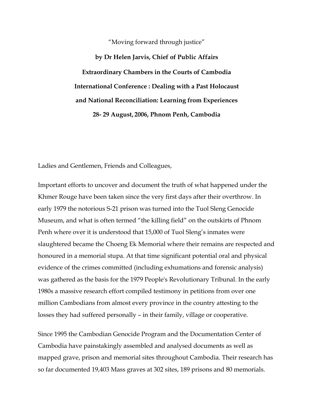## "Moving forward through justice"

**by Dr Helen Jarvis, Chief of Public Affairs Extraordinary Chambers in the Courts of Cambodia International Conference : Dealing with a Past Holocaust and National Reconciliation: Learning from Experiences 28- 29 August, 2006, Phnom Penh, Cambodia** 

Ladies and Gentlemen, Friends and Colleagues,

Important efforts to uncover and document the truth of what happened under the Khmer Rouge have been taken since the very first days after their overthrow. In early 1979 the notorious S-21 prison was turned into the Tuol Sleng Genocide Museum, and what is often termed "the killing field" on the outskirts of Phnom Penh where over it is understood that 15,000 of Tuol Sleng's inmates were slaughtered became the Choeng Ek Memorial where their remains are respected and honoured in a memorial stupa. At that time significant potential oral and physical evidence of the crimes committed (including exhumations and forensic analysis) was gathered as the basis for the 1979 People's Revolutionary Tribunal. In the early 1980s a massive research effort compiled testimony in petitions from over one million Cambodians from almost every province in the country attesting to the losses they had suffered personally – in their family, village or cooperative.

Since 1995 the Cambodian Genocide Program and the Documentation Center of Cambodia have painstakingly assembled and analysed documents as well as mapped grave, prison and memorial sites throughout Cambodia. Their research has so far documented 19,403 Mass graves at 302 sites, 189 prisons and 80 memorials.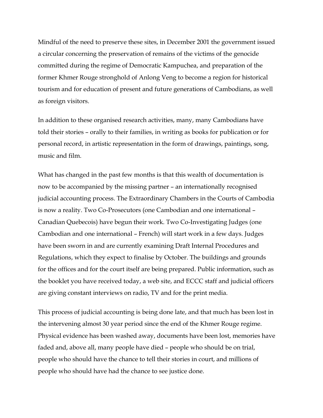Mindful of the need to preserve these sites, in December 2001 the government issued a circular concerning the preservation of remains of the victims of the genocide committed during the regime of Democratic Kampuchea, and preparation of the former Khmer Rouge stronghold of Anlong Veng to become a region for historical tourism and for education of present and future generations of Cambodians, as well as foreign visitors.

In addition to these organised research activities, many, many Cambodians have told their stories – orally to their families, in writing as books for publication or for personal record, in artistic representation in the form of drawings, paintings, song, music and film.

What has changed in the past few months is that this wealth of documentation is now to be accompanied by the missing partner – an internationally recognised judicial accounting process. The Extraordinary Chambers in the Courts of Cambodia is now a reality. Two Co-Prosecutors (one Cambodian and one international – Canadian Quebecois) have begun their work. Two Co-Investigating Judges (one Cambodian and one international – French) will start work in a few days. Judges have been sworn in and are currently examining Draft Internal Procedures and Regulations, which they expect to finalise by October. The buildings and grounds for the offices and for the court itself are being prepared. Public information, such as the booklet you have received today, a web site, and ECCC staff and judicial officers are giving constant interviews on radio, TV and for the print media.

This process of judicial accounting is being done late, and that much has been lost in the intervening almost 30 year period since the end of the Khmer Rouge regime. Physical evidence has been washed away, documents have been lost, memories have faded and, above all, many people have died – people who should be on trial, people who should have the chance to tell their stories in court, and millions of people who should have had the chance to see justice done.